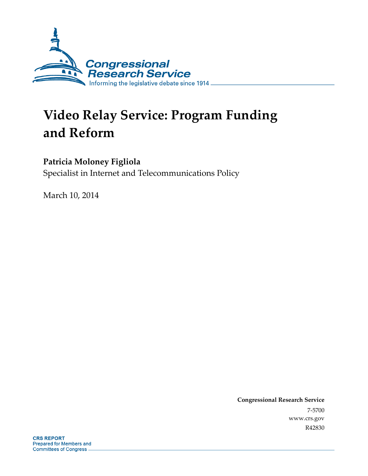

# **Video Relay Service: Program Funding and Reform**

**Patricia Moloney Figliola**  Specialist in Internet and Telecommunications Policy

March 10, 2014

**Congressional Research Service**  7-5700 www.crs.gov R42830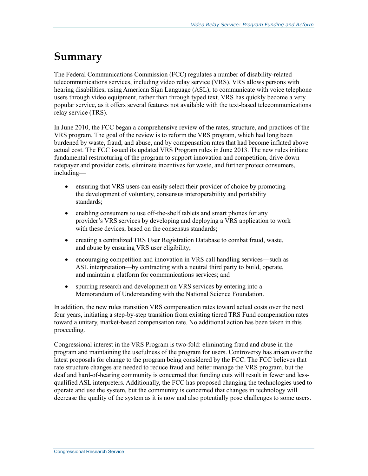## **Summary**

The Federal Communications Commission (FCC) regulates a number of disability-related telecommunications services, including video relay service (VRS). VRS allows persons with hearing disabilities, using American Sign Language (ASL), to communicate with voice telephone users through video equipment, rather than through typed text. VRS has quickly become a very popular service, as it offers several features not available with the text-based telecommunications relay service (TRS).

In June 2010, the FCC began a comprehensive review of the rates, structure, and practices of the VRS program. The goal of the review is to reform the VRS program, which had long been burdened by waste, fraud, and abuse, and by compensation rates that had become inflated above actual cost. The FCC issued its updated VRS Program rules in June 2013. The new rules initiate fundamental restructuring of the program to support innovation and competition, drive down ratepayer and provider costs, eliminate incentives for waste, and further protect consumers, including—

- ensuring that VRS users can easily select their provider of choice by promoting the development of voluntary, consensus interoperability and portability standards;
- enabling consumers to use off-the-shelf tablets and smart phones for any provider's VRS services by developing and deploying a VRS application to work with these devices, based on the consensus standards;
- creating a centralized TRS User Registration Database to combat fraud, waste, and abuse by ensuring VRS user eligibility;
- encouraging competition and innovation in VRS call handling services—such as ASL interpretation—by contracting with a neutral third party to build, operate, and maintain a platform for communications services; and
- spurring research and development on VRS services by entering into a Memorandum of Understanding with the National Science Foundation.

In addition, the new rules transition VRS compensation rates toward actual costs over the next four years, initiating a step-by-step transition from existing tiered TRS Fund compensation rates toward a unitary, market-based compensation rate. No additional action has been taken in this proceeding.

Congressional interest in the VRS Program is two-fold: eliminating fraud and abuse in the program and maintaining the usefulness of the program for users. Controversy has arisen over the latest proposals for change to the program being considered by the FCC. The FCC believes that rate structure changes are needed to reduce fraud and better manage the VRS program, but the deaf and hard-of-hearing community is concerned that funding cuts will result in fewer and lessqualified ASL interpreters. Additionally, the FCC has proposed changing the technologies used to operate and use the system, but the community is concerned that changes in technology will decrease the quality of the system as it is now and also potentially pose challenges to some users.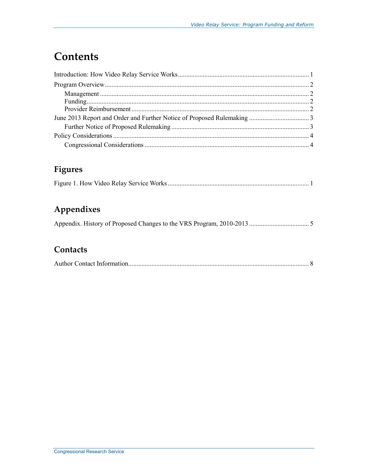# **Contents**

## Figures

## Appendixes

## Contacts

|--|--|--|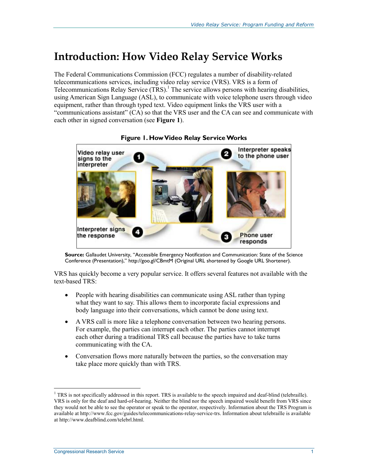## **Introduction: How Video Relay Service Works**

The Federal Communications Commission (FCC) regulates a number of disability-related telecommunications services, including video relay service (VRS). VRS is a form of Telecommunications Relay Service  $(TRS)$ .<sup>1</sup> The service allows persons with hearing disabilities, using American Sign Language (ASL), to communicate with voice telephone users through video equipment, rather than through typed text. Video equipment links the VRS user with a "communications assistant" (CA) so that the VRS user and the CA can see and communicate with each other in signed conversation (see **Figure 1**).



**Figure 1. How Video Relay Service Works** 

**Source:** Gallaudet University, "Accessible Emergency Notification and Communication: State of the Science Conference (Presentation)," http://goo.gl/CBmtM (Original URL shortened by Google URL Shortener).

VRS has quickly become a very popular service. It offers several features not available with the text-based TRS:

- People with hearing disabilities can communicate using ASL rather than typing what they want to say. This allows them to incorporate facial expressions and body language into their conversations, which cannot be done using text.
- A VRS call is more like a telephone conversation between two hearing persons. For example, the parties can interrupt each other. The parties cannot interrupt each other during a traditional TRS call because the parties have to take turns communicating with the CA.
- Conversation flows more naturally between the parties, so the conversation may take place more quickly than with TRS.

1

 $1$  TRS is not specifically addressed in this report. TRS is available to the speech impaired and deaf-blind (telebraille). VRS is only for the deaf and hard-of-hearing. Neither the blind nor the speech impaired would benefit from VRS since they would not be able to see the operator or speak to the operator, respectively. Information about the TRS Program is available at http://www.fcc.gov/guides/telecommunications-relay-service-trs. Information about telebraille is available at http://www.deafblind.com/telebrl.html.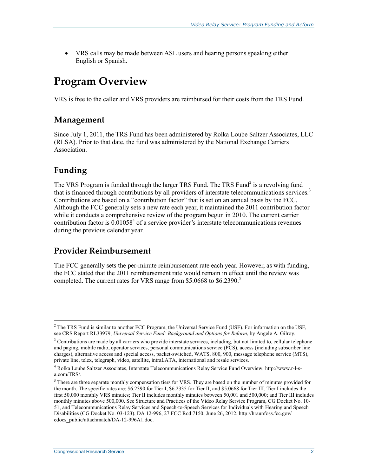• VRS calls may be made between ASL users and hearing persons speaking either English or Spanish.

# **Program Overview**

VRS is free to the caller and VRS providers are reimbursed for their costs from the TRS Fund.

### **Management**

Since July 1, 2011, the TRS Fund has been administered by Rolka Loube Saltzer Associates, LLC (RLSA). Prior to that date, the fund was administered by the National Exchange Carriers Association.

## **Funding**

The VRS Program is funded through the larger TRS Fund. The TRS Fund<sup>2</sup> is a revolving fund that is financed through contributions by all providers of interstate telecommunications services.<sup>3</sup> Contributions are based on a "contribution factor" that is set on an annual basis by the FCC. Although the FCC generally sets a new rate each year, it maintained the 2011 contribution factor while it conducts a comprehensive review of the program begun in 2010. The current carrier contribution factor is  $0.01058<sup>4</sup>$  of a service provider's interstate telecommunications revenues during the previous calendar year.

### **Provider Reimbursement**

The FCC generally sets the per-minute reimbursement rate each year. However, as with funding, the FCC stated that the 2011 reimbursement rate would remain in effect until the review was completed. The current rates for VRS range from \$5.0668 to \$6.2390.<sup>5</sup>

<sup>1</sup> <sup>2</sup> The TRS Fund is similar to another FCC Program, the Universal Service Fund (USF). For information on the USF, see CRS Report RL33979, *Universal Service Fund: Background and Options for Reform*, by Angele A. Gilroy.

 $3$  Contributions are made by all carriers who provide interstate services, including, but not limited to, cellular telephone and paging, mobile radio, operator services, personal communications service (PCS), access (including subscriber line charges), alternative access and special access, packet-switched, WATS, 800, 900, message telephone service (MTS), private line, telex, telegraph, video, satellite, intraLATA, international and resale services.

<sup>4</sup> Rolka Loube Saltzer Associates, Interstate Telecommunications Relay Service Fund Overview, http://www.r-l-sa.com/TRS/.

 $<sup>5</sup>$  There are three separate monthly compensation tiers for VRS. They are based on the number of minutes provided for</sup> the month. The specific rates are: \$6.2390 for Tier I, \$6.2335 for Tier II, and \$5.0668 for Tier III. Tier I includes the first 50,000 monthly VRS minutes; Tier II includes monthly minutes between 50,001 and 500,000; and Tier III includes monthly minutes above 500,000. See Structure and Practices of the Video Relay Service Program, CG Docket No. 10- 51, and Telecommunications Relay Services and Speech-to-Speech Services for Individuals with Hearing and Speech Disabilities (CG Docket No. 03-123), DA 12-996, 27 FCC Rcd 7150, June 26, 2012, http://hraunfoss.fcc.gov/ edocs\_public/attachmatch/DA-12-996A1.doc.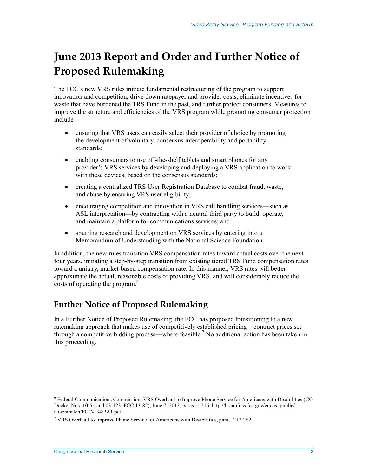# **June 2013 Report and Order and Further Notice of Proposed Rulemaking**

The FCC's new VRS rules initiate fundamental restructuring of the program to support innovation and competition, drive down ratepayer and provider costs, eliminate incentives for waste that have burdened the TRS Fund in the past, and further protect consumers. Measures to improve the structure and efficiencies of the VRS program while promoting consumer protection include—

- ensuring that VRS users can easily select their provider of choice by promoting the development of voluntary, consensus interoperability and portability standards;
- enabling consumers to use off-the-shelf tablets and smart phones for any provider's VRS services by developing and deploying a VRS application to work with these devices, based on the consensus standards;
- creating a centralized TRS User Registration Database to combat fraud, waste, and abuse by ensuring VRS user eligibility;
- encouraging competition and innovation in VRS call handling services—such as ASL interpretation—by contracting with a neutral third party to build, operate, and maintain a platform for communications services; and
- spurring research and development on VRS services by entering into a Memorandum of Understanding with the National Science Foundation.

In addition, the new rules transition VRS compensation rates toward actual costs over the next four years, initiating a step-by-step transition from existing tiered TRS Fund compensation rates toward a unitary, market-based compensation rate. In this manner, VRS rates will better approximate the actual, reasonable costs of providing VRS, and will considerably reduce the  $\cos$ ts of operating the program.<sup>6</sup>

## **Further Notice of Proposed Rulemaking**

In a Further Notice of Proposed Rulemaking, the FCC has proposed transitioning to a new ratemaking approach that makes use of competitively established pricing—contract prices set through a competitive bidding process—where feasible.<sup>7</sup> No additional action has been taken in this proceeding.

1

<sup>6</sup> Federal Communications Commission, VRS Overhaul to Improve Phone Service for Americans with Disabilities (CG Docket Nos. 10-51 and 03-123, FCC 13-82), June 7, 2013, paras. 1-216, http://hraunfoss.fcc.gov/edocs\_public/ attachmatch/FCC-13-82A1.pdf.

<sup>&</sup>lt;sup>7</sup> VRS Overhaul to Improve Phone Service for Americans with Disabilities, paras. 217-282.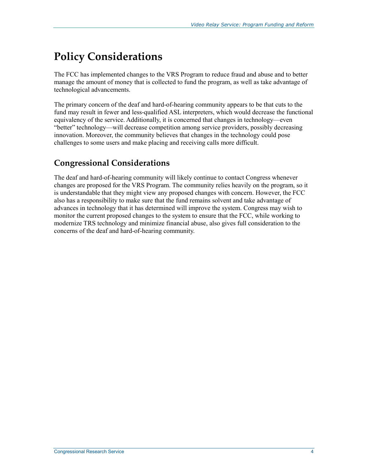# **Policy Considerations**

The FCC has implemented changes to the VRS Program to reduce fraud and abuse and to better manage the amount of money that is collected to fund the program, as well as take advantage of technological advancements.

The primary concern of the deaf and hard-of-hearing community appears to be that cuts to the fund may result in fewer and less-qualified ASL interpreters, which would decrease the functional equivalency of the service. Additionally, it is concerned that changes in technology—even "better" technology—will decrease competition among service providers, possibly decreasing innovation. Moreover, the community believes that changes in the technology could pose challenges to some users and make placing and receiving calls more difficult.

## **Congressional Considerations**

The deaf and hard-of-hearing community will likely continue to contact Congress whenever changes are proposed for the VRS Program. The community relies heavily on the program, so it is understandable that they might view any proposed changes with concern. However, the FCC also has a responsibility to make sure that the fund remains solvent and take advantage of advances in technology that it has determined will improve the system. Congress may wish to monitor the current proposed changes to the system to ensure that the FCC, while working to modernize TRS technology and minimize financial abuse, also gives full consideration to the concerns of the deaf and hard-of-hearing community.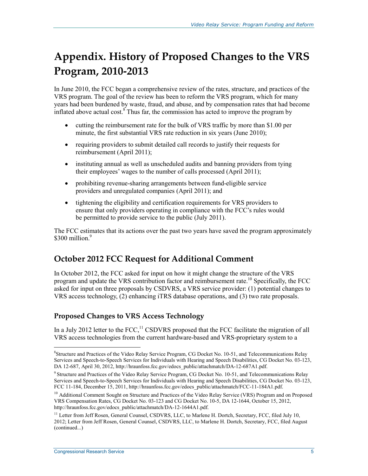# **Appendix. History of Proposed Changes to the VRS Program, 2010-2013**

In June 2010, the FCC began a comprehensive review of the rates, structure, and practices of the VRS program. The goal of the review has been to reform the VRS program, which for many years had been burdened by waste, fraud, and abuse, and by compensation rates that had become inflated above actual cost. $\frac{8}{3}$  Thus far, the commission has acted to improve the program by

- cutting the reimbursement rate for the bulk of VRS traffic by more than \$1.00 per minute, the first substantial VRS rate reduction in six years (June 2010);
- requiring providers to submit detailed call records to justify their requests for reimbursement (April 2011);
- instituting annual as well as unscheduled audits and banning providers from tying their employees' wages to the number of calls processed (April 2011);
- prohibiting revenue-sharing arrangements between fund-eligible service providers and unregulated companies (April 2011); and
- tightening the eligibility and certification requirements for VRS providers to ensure that only providers operating in compliance with the FCC's rules would be permitted to provide service to the public (July 2011).

The FCC estimates that its actions over the past two years have saved the program approximately \$300 million.<sup>9</sup>

## **October 2012 FCC Request for Additional Comment**

In October 2012, the FCC asked for input on how it might change the structure of the VRS program and update the VRS contribution factor and reimbursement rate.<sup>10</sup> Specifically, the FCC asked for input on three proposals by CSDVRS, a VRS service provider: (1) potential changes to VRS access technology, (2) enhancing iTRS database operations, and (3) two rate proposals.

### **Proposed Changes to VRS Access Technology**

In a July 2012 letter to the  $FCC$ ,<sup>11</sup> CSDVRS proposed that the FCC facilitate the migration of all VRS access technologies from the current hardware-based and VRS-proprietary system to a

<u>.</u>

<sup>8</sup> Structure and Practices of the Video Relay Service Program, CG Docket No. 10-51, and Telecommunications Relay Services and Speech-to-Speech Services for Individuals with Hearing and Speech Disabilities, CG Docket No. 03-123, DA 12-687, April 30, 2012, http://hraunfoss.fcc.gov/edocs\_public/attachmatch/DA-12-687A1.pdf.

<sup>&</sup>lt;sup>9</sup> Structure and Practices of the Video Relay Service Program, CG Docket No. 10-51, and Telecommunications Relay Services and Speech-to-Speech Services for Individuals with Hearing and Speech Disabilities, CG Docket No. 03-123, FCC 11-184, December 15, 2011, http://hraunfoss.fcc.gov/edocs\_public/attachmatch/FCC-11-184A1.pdf.

<sup>&</sup>lt;sup>10</sup> Additional Comment Sought on Structure and Practices of the Video Relay Service (VRS) Program and on Proposed VRS Compensation Rates, CG Docket No. 03-123 and CG Docket No. 10-5, DA 12-1644, October 15, 2012, http://hraunfoss.fcc.gov/edocs\_public/attachmatch/DA-12-1644A1.pdf.

<sup>&</sup>lt;sup>11</sup> Letter from Jeff Rosen, General Counsel, CSDVRS, LLC, to Marlene H. Dortch, Secretary, FCC, filed July 10, 2012; Letter from Jeff Rosen, General Counsel, CSDVRS, LLC, to Marlene H. Dortch, Secretary, FCC, filed August (continued...)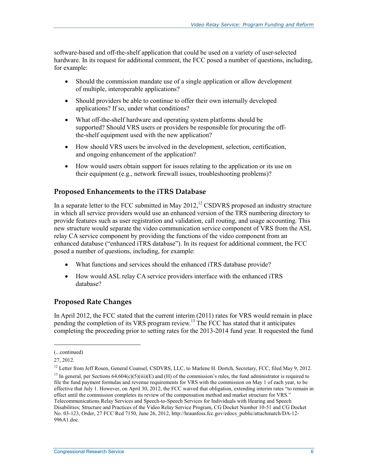software-based and off-the-shelf application that could be used on a variety of user-selected hardware. In its request for additional comment, the FCC posed a number of questions, including, for example:

- Should the commission mandate use of a single application or allow development of multiple, interoperable applications?
- Should providers be able to continue to offer their own internally developed applications? If so, under what conditions?
- What off-the-shelf hardware and operating system platforms should be supported? Should VRS users or providers be responsible for procuring the offthe-shelf equipment used with the new application?
- How should VRS users be involved in the development, selection, certification, and ongoing enhancement of the application?
- How would users obtain support for issues relating to the application or its use on their equipment (e.g., network firewall issues, troubleshooting problems)?

#### **Proposed Enhancements to the iTRS Database**

In a separate letter to the FCC submitted in May 2012,<sup>12</sup> CSDVRS proposed an industry structure in which all service providers would use an enhanced version of the TRS numbering directory to provide features such as user registration and validation, call routing, and usage accounting. This new structure would separate the video communication service component of VRS from the ASL relay CA service component by providing the functions of the video component from an enhanced database ("enhanced iTRS database"). In its request for additional comment, the FCC posed a number of questions, including, for example:

- What functions and services should the enhanced iTRS database provide?
- How would ASL relay CA service providers interface with the enhanced iTRS database?

### **Proposed Rate Changes**

In April 2012, the FCC stated that the current interim (2011) rates for VRS would remain in place pending the completion of its VRS program review.<sup>13</sup> The FCC has stated that it anticipates completing the proceeding prior to setting rates for the 2013-2014 fund year. It requested the fund

 $\overline{a}$ 

<sup>(...</sup>continued)

<sup>27, 2012.</sup> 

<sup>&</sup>lt;sup>12</sup> Letter from Jeff Rosen, General Counsel, CSDVRS, LLC, to Marlene H. Dortch, Secretary, FCC, filed May 9, 2012.

 $13$  In general, per Sections 64.604(c)(5)(iii)(E) and (H) of the commission's rules, the fund administrator is required to file the fund payment formulas and revenue requirements for VRS with the commission on May 1 of each year, to be effective that July 1. However, on April 30, 2012, the FCC waived that obligation, extending interim rates "to remain in effect until the commission completes its review of the compensation method and market structure for VRS." Telecommunications Relay Services and Speech-to-Speech Services for Individuals with Hearing and Speech Disabilities; Structure and Practices of the Video Relay Service Program, CG Docket Number 10-51 and CG Docket No. 03-123, Order, 27 FCC Rcd 7150, June 26, 2012, http://hraunfoss.fcc.gov/edocs\_public/attachmatch/DA-12- 996A1.doc.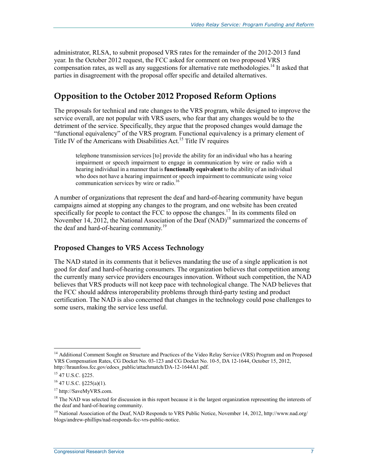administrator, RLSA, to submit proposed VRS rates for the remainder of the 2012-2013 fund year. In the October 2012 request, the FCC asked for comment on two proposed VRS compensation rates, as well as any suggestions for alternative rate methodologies.<sup>14</sup> It asked that parties in disagreement with the proposal offer specific and detailed alternatives.

## **Opposition to the October 2012 Proposed Reform Options**

The proposals for technical and rate changes to the VRS program, while designed to improve the service overall, are not popular with VRS users, who fear that any changes would be to the detriment of the service. Specifically, they argue that the proposed changes would damage the "functional equivalency" of the VRS program. Functional equivalency is a primary element of Title IV of the Americans with Disabilities Act.<sup>15</sup> Title IV requires

telephone transmission services [to] provide the ability for an individual who has a hearing impairment or speech impairment to engage in communication by wire or radio with a hearing individual in a manner that is **functionally equivalent** to the ability of an individual who does not have a hearing impairment or speech impairment to communicate using voice communication services by wire or radio.<sup>16</sup>

A number of organizations that represent the deaf and hard-of-hearing community have begun campaigns aimed at stopping any changes to the program, and one website has been created specifically for people to contact the FCC to oppose the changes.<sup>17</sup> In its comments filed on November 14, 2012, the National Association of the Deaf  $(NAD)^{18}$  summarized the concerns of the deaf and hard-of-hearing community.<sup>19</sup>

### **Proposed Changes to VRS Access Technology**

The NAD stated in its comments that it believes mandating the use of a single application is not good for deaf and hard-of-hearing consumers. The organization believes that competition among the currently many service providers encourages innovation. Without such competition, the NAD believes that VRS products will not keep pace with technological change. The NAD believes that the FCC should address interoperability problems through third-party testing and product certification. The NAD is also concerned that changes in the technology could pose challenges to some users, making the service less useful.

<sup>1</sup> <sup>14</sup> Additional Comment Sought on Structure and Practices of the Video Relay Service (VRS) Program and on Proposed VRS Compensation Rates, CG Docket No. 03-123 and CG Docket No. 10-5, DA 12-1644, October 15, 2012, http://hraunfoss.fcc.gov/edocs\_public/attachmatch/DA-12-1644A1.pdf.

<sup>15 47</sup> U.S.C. §225.

 $16$  47 U.S.C. §225(a)(1).

<sup>17</sup> http://SaveMyVRS.com.

<sup>&</sup>lt;sup>18</sup> The NAD was selected for discussion in this report because it is the largest organization representing the interests of the deaf and hard-of-hearing community.

<sup>&</sup>lt;sup>19</sup> National Association of the Deaf, NAD Responds to VRS Public Notice, November 14, 2012, http://www.nad.org/ blogs/andrew-phillips/nad-responds-fcc-vrs-public-notice.